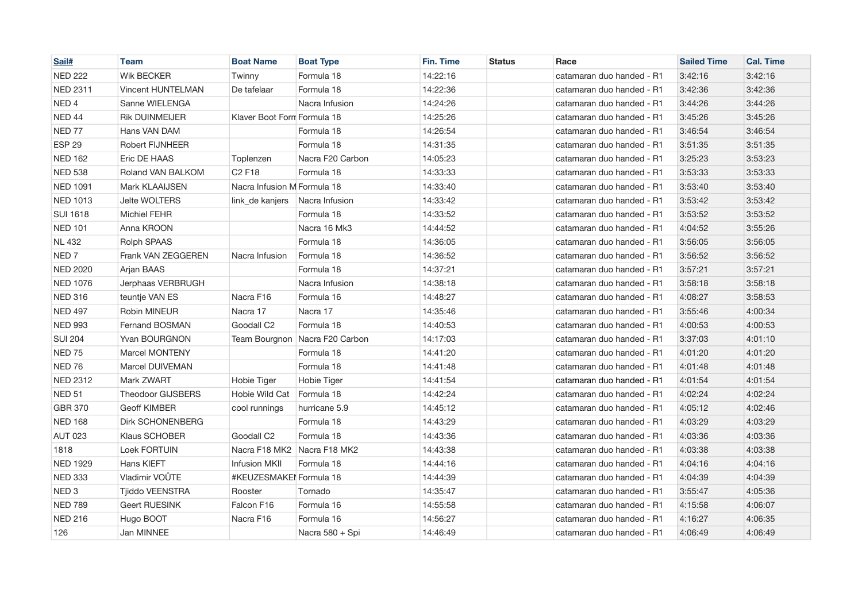| Sail#             | <b>Team</b>              | <b>Boat Name</b>               | <b>Boat Type</b>               | Fin. Time | <b>Status</b> | Race                      | <b>Sailed Time</b> | <b>Cal. Time</b> |
|-------------------|--------------------------|--------------------------------|--------------------------------|-----------|---------------|---------------------------|--------------------|------------------|
| <b>NED 222</b>    | <b>Wik BECKER</b>        | Twinny                         | Formula 18                     | 14:22:16  |               | catamaran duo handed - R1 | 3:42:16            | 3:42:16          |
| <b>NED 2311</b>   | <b>Vincent HUNTELMAN</b> | De tafelaar                    | Formula 18                     | 14:22:36  |               | catamaran duo handed - R1 | 3:42:36            | 3:42:36          |
| NED <sub>4</sub>  | Sanne WIELENGA           |                                | Nacra Infusion                 | 14:24:26  |               | catamaran duo handed - R1 | 3:44:26            | 3:44:26          |
| NED 44            | <b>Rik DUINMEIJER</b>    | Klaver Boot Form Formula 18    |                                | 14:25:26  |               | catamaran duo handed - R1 | 3:45:26            | 3:45:26          |
| NED <sub>77</sub> | Hans VAN DAM             |                                | Formula 18                     | 14:26:54  |               | catamaran duo handed - R1 | 3:46:54            | 3:46:54          |
| ESP <sub>29</sub> | Robert FIJNHEER          |                                | Formula 18                     | 14:31:35  |               | catamaran duo handed - R1 | 3:51:35            | 3:51:35          |
| <b>NED 162</b>    | Eric DE HAAS             | Toplenzen                      | Nacra F20 Carbon               | 14:05:23  |               | catamaran duo handed - R1 | 3:25:23            | 3:53:23          |
| <b>NED 538</b>    | Roland VAN BALKOM        | C <sub>2</sub> F <sub>18</sub> | Formula 18                     | 14:33:33  |               | catamaran duo handed - R1 | 3:53:33            | 3:53:33          |
| <b>NED 1091</b>   | Mark KLAAIJSEN           | Nacra Infusion M Formula 18    |                                | 14:33:40  |               | catamaran duo handed - R1 | 3:53:40            | 3:53:40          |
| <b>NED 1013</b>   | <b>Jelte WOLTERS</b>     | link_de kanjers                | Nacra Infusion                 | 14:33:42  |               | catamaran duo handed - R1 | 3:53:42            | 3:53:42          |
| <b>SUI 1618</b>   | <b>Michiel FEHR</b>      |                                | Formula 18                     | 14:33:52  |               | catamaran duo handed - R1 | 3:53:52            | 3:53:52          |
| <b>NED 101</b>    | Anna KROON               |                                | Nacra 16 Mk3                   | 14:44:52  |               | catamaran duo handed - R1 | 4:04:52            | 3:55:26          |
| <b>NL 432</b>     | Rolph SPAAS              |                                | Formula 18                     | 14:36:05  |               | catamaran duo handed - R1 | 3:56:05            | 3:56:05          |
| NED <sub>7</sub>  | Frank VAN ZEGGEREN       | Nacra Infusion                 | Formula 18                     | 14:36:52  |               | catamaran duo handed - R1 | 3:56:52            | 3:56:52          |
| <b>NED 2020</b>   | Arjan BAAS               |                                | Formula 18                     | 14:37:21  |               | catamaran duo handed - R1 | 3:57:21            | 3:57:21          |
| <b>NED 1076</b>   | Jerphaas VERBRUGH        |                                | Nacra Infusion                 | 14:38:18  |               | catamaran duo handed - R1 | 3:58:18            | 3:58:18          |
| <b>NED 316</b>    | teuntje VAN ES           | Nacra F16                      | Formula 16                     | 14:48:27  |               | catamaran duo handed - R1 | 4:08:27            | 3:58:53          |
| <b>NED 497</b>    | Robin MINEUR             | Nacra 17                       | Nacra 17                       | 14:35:46  |               | catamaran duo handed - R1 | 3:55:46            | 4:00:34          |
| <b>NED 993</b>    | Fernand BOSMAN           | Goodall C2                     | Formula 18                     | 14:40:53  |               | catamaran duo handed - R1 | 4:00:53            | 4:00:53          |
| <b>SUI 204</b>    | Yvan BOURGNON            |                                | Team Bourgnon Nacra F20 Carbon | 14:17:03  |               | catamaran duo handed - R1 | 3:37:03            | 4:01:10          |
| <b>NED 75</b>     | <b>Marcel MONTENY</b>    |                                | Formula 18                     | 14:41:20  |               | catamaran duo handed - R1 | 4:01:20            | 4:01:20          |
| NED <sub>76</sub> | Marcel DUIVEMAN          |                                | Formula 18                     | 14:41:48  |               | catamaran duo handed - R1 | 4:01:48            | 4:01:48          |
| <b>NED 2312</b>   | Mark ZWART               | Hobie Tiger                    | Hobie Tiger                    | 14:41:54  |               | catamaran duo handed - R1 | 4:01:54            | 4:01:54          |
| <b>NED 51</b>     | <b>Theodoor GIJSBERS</b> | Hobie Wild Cat                 | Formula 18                     | 14:42:24  |               | catamaran duo handed - R1 | 4:02:24            | 4:02:24          |
| <b>GBR 370</b>    | <b>Geoff KIMBER</b>      | cool runnings                  | hurricane 5.9                  | 14:45:12  |               | catamaran duo handed - R1 | 4:05:12            | 4:02:46          |
| <b>NED 168</b>    | <b>Dirk SCHONENBERG</b>  |                                | Formula 18                     | 14:43:29  |               | catamaran duo handed - R1 | 4:03:29            | 4:03:29          |
| <b>AUT 023</b>    | Klaus SCHOBER            | Goodall C2                     | Formula 18                     | 14:43:36  |               | catamaran duo handed - R1 | 4:03:36            | 4:03:36          |
| 1818              | Loek FORTUIN             | Nacra F18 MK2 Nacra F18 MK2    |                                | 14:43:38  |               | catamaran duo handed - R1 | 4:03:38            | 4:03:38          |
| <b>NED 1929</b>   | Hans KIEFT               | <b>Infusion MKII</b>           | Formula 18                     | 14:44:16  |               | catamaran duo handed - R1 | 4:04:16            | 4:04:16          |
| <b>NED 333</b>    | Vladimir VOÛTE           | #KEUZESMAKEI Formula 18        |                                | 14:44:39  |               | catamaran duo handed - R1 | 4:04:39            | 4:04:39          |
| NED <sub>3</sub>  | Tjiddo VEENSTRA          | Rooster                        | Tornado                        | 14:35:47  |               | catamaran duo handed - R1 | 3:55:47            | 4:05:36          |
| <b>NED 789</b>    | <b>Geert RUESINK</b>     | Falcon F16                     | Formula 16                     | 14:55:58  |               | catamaran duo handed - R1 | 4:15:58            | 4:06:07          |
| <b>NED 216</b>    | Hugo BOOT                | Nacra F16                      | Formula 16                     | 14:56:27  |               | catamaran duo handed - R1 | 4:16:27            | 4:06:35          |
| 126               | Jan MINNEE               |                                | Nacra 580 + Spi                | 14:46:49  |               | catamaran duo handed - R1 | 4:06:49            | 4:06:49          |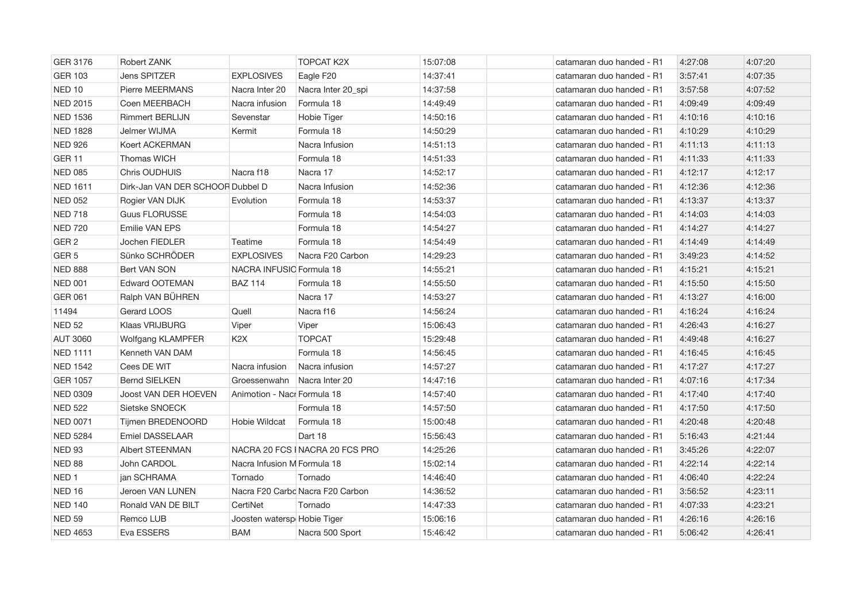| GER 3176          | Robert ZANK                      |                             | <b>TOPCAT K2X</b>                | 15:07:08 | catamaran duo handed - R1 | 4:27:08 | 4:07:20 |
|-------------------|----------------------------------|-----------------------------|----------------------------------|----------|---------------------------|---------|---------|
| <b>GER 103</b>    | <b>Jens SPITZER</b>              | <b>EXPLOSIVES</b>           | Eagle F20                        | 14:37:41 | catamaran duo handed - R1 | 3:57:41 | 4:07:35 |
| NED <sub>10</sub> | Pierre MEERMANS                  | Nacra Inter 20              | Nacra Inter 20_spi               | 14:37:58 | catamaran duo handed - R1 | 3:57:58 | 4:07:52 |
| <b>NED 2015</b>   | Coen MEERBACH                    | Nacra infusion              | Formula 18                       | 14:49:49 | catamaran duo handed - R1 | 4:09:49 | 4:09:49 |
| <b>NED 1536</b>   | <b>Rimmert BERLIJN</b>           | Sevenstar                   | Hobie Tiger                      | 14:50:16 | catamaran duo handed - R1 | 4:10:16 | 4:10:16 |
| <b>NED 1828</b>   | Jelmer WIJMA                     | Kermit                      | Formula 18                       | 14:50:29 | catamaran duo handed - R1 | 4:10:29 | 4:10:29 |
| <b>NED 926</b>    | Koert ACKERMAN                   |                             | Nacra Infusion                   | 14:51:13 | catamaran duo handed - R1 | 4:11:13 | 4:11:13 |
| <b>GER 11</b>     | <b>Thomas WICH</b>               |                             | Formula 18                       | 14:51:33 | catamaran duo handed - R1 | 4:11:33 | 4:11:33 |
| <b>NED 085</b>    | Chris OUDHUIS                    | Nacra f18                   | Nacra 17                         | 14:52:17 | catamaran duo handed - R1 | 4:12:17 | 4:12:17 |
| <b>NED 1611</b>   | Dirk-Jan VAN DER SCHOOR Dubbel D |                             | Nacra Infusion                   | 14:52:36 | catamaran duo handed - R1 | 4:12:36 | 4:12:36 |
| <b>NED 052</b>    | Rogier VAN DIJK                  | Evolution                   | Formula 18                       | 14:53:37 | catamaran duo handed - R1 | 4:13:37 | 4:13:37 |
| <b>NED 718</b>    | <b>Guus FLORUSSE</b>             |                             | Formula 18                       | 14:54:03 | catamaran duo handed - R1 | 4:14:03 | 4:14:03 |
| <b>NED 720</b>    | Emilie VAN EPS                   |                             | Formula 18                       | 14:54:27 | catamaran duo handed - R1 | 4:14:27 | 4:14:27 |
| GER <sub>2</sub>  | Jochen FIEDLER                   | Teatime                     | Formula 18                       | 14:54:49 | catamaran duo handed - R1 | 4:14:49 | 4:14:49 |
| GER <sub>5</sub>  | Sünko SCHRÖDER                   | <b>EXPLOSIVES</b>           | Nacra F20 Carbon                 | 14:29:23 | catamaran duo handed - R1 | 3:49:23 | 4:14:52 |
| <b>NED 888</b>    | Bert VAN SON                     | NACRA INFUSIO Formula 18    |                                  | 14:55:21 | catamaran duo handed - R1 | 4:15:21 | 4:15:21 |
| <b>NED 001</b>    | Edward OOTEMAN                   | <b>BAZ 114</b>              | Formula 18                       | 14:55:50 | catamaran duo handed - R1 | 4:15:50 | 4:15:50 |
| <b>GER 061</b>    | Ralph VAN BÜHREN                 |                             | Nacra 17                         | 14:53:27 | catamaran duo handed - R1 | 4:13:27 | 4:16:00 |
| 11494             | Gerard LOOS                      | Quell                       | Nacra f16                        | 14:56:24 | catamaran duo handed - R1 | 4:16:24 | 4:16:24 |
| <b>NED 52</b>     | Klaas VRIJBURG                   | Viper                       | Viper                            | 15:06:43 | catamaran duo handed - R1 | 4:26:43 | 4:16:27 |
| <b>AUT 3060</b>   | Wolfgang KLAMPFER                | K <sub>2</sub> X            | <b>TOPCAT</b>                    | 15:29:48 | catamaran duo handed - R1 | 4:49:48 | 4:16:27 |
| <b>NED 1111</b>   | Kenneth VAN DAM                  |                             | Formula 18                       | 14:56:45 | catamaran duo handed - R1 | 4:16:45 | 4:16:45 |
| <b>NED 1542</b>   | Cees DE WIT                      | Nacra infusion              | Nacra infusion                   | 14:57:27 | catamaran duo handed - R1 | 4:17:27 | 4:17:27 |
| <b>GER 1057</b>   | <b>Bernd SIELKEN</b>             | Groessenwahn                | Nacra Inter 20                   | 14:47:16 | catamaran duo handed - R1 | 4:07:16 | 4:17:34 |
| <b>NED 0309</b>   | Joost VAN DER HOEVEN             | Animotion - Nacr Formula 18 |                                  | 14:57:40 | catamaran duo handed - R1 | 4:17:40 | 4:17:40 |
| <b>NED 522</b>    | Sietske SNOECK                   |                             | Formula 18                       | 14:57:50 | catamaran duo handed - R1 | 4:17:50 | 4:17:50 |
| <b>NED 0071</b>   | Tijmen BREDENOORD                | Hobie Wildcat               | Formula 18                       | 15:00:48 | catamaran duo handed - R1 | 4:20:48 | 4:20:48 |
| <b>NED 5284</b>   | Emiel DASSELAAR                  |                             | Dart 18                          | 15:56:43 | catamaran duo handed - R1 | 5:16:43 | 4:21:44 |
| <b>NED 93</b>     | Albert STEENMAN                  |                             | NACRA 20 FCS   NACRA 20 FCS PRO  | 14:25:26 | catamaran duo handed - R1 | 3:45:26 | 4:22:07 |
| NED 88            | John CARDOL                      | Nacra Infusion M Formula 18 |                                  | 15:02:14 | catamaran duo handed - R1 | 4:22:14 | 4:22:14 |
| NED <sub>1</sub>  | jan SCHRAMA                      | Tornado                     | Tornado                          | 14:46:40 | catamaran duo handed - R1 | 4:06:40 | 4:22:24 |
| NED <sub>16</sub> | Jeroen VAN LUNEN                 |                             | Nacra F20 Carbo Nacra F20 Carbon | 14:36:52 | catamaran duo handed - R1 | 3:56:52 | 4:23:11 |
| <b>NED 140</b>    | Ronald VAN DE BILT               | CertiNet                    | Tornado                          | 14:47:33 | catamaran duo handed - R1 | 4:07:33 | 4:23:21 |
| <b>NED 59</b>     | Remco LUB                        | Joosten watersp Hobie Tiger |                                  | 15:06:16 | catamaran duo handed - R1 | 4:26:16 | 4:26:16 |
| <b>NED 4653</b>   | Eva ESSERS                       | <b>BAM</b>                  | Nacra 500 Sport                  | 15:46:42 | catamaran duo handed - R1 | 5:06:42 | 4:26:41 |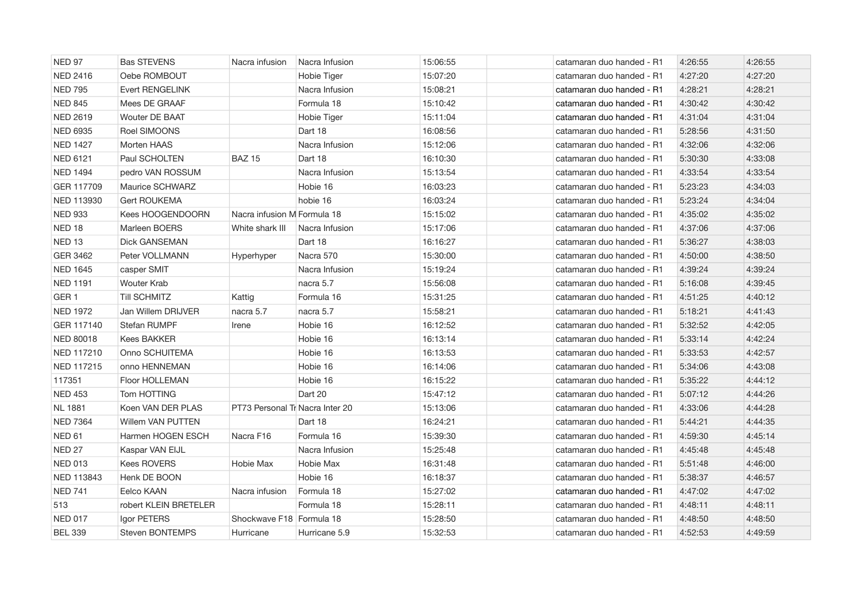| NED 97            | <b>Bas STEVENS</b>     | Nacra infusion                  | Nacra Infusion | 15:06:55 | catamaran duo handed - R1 | 4:26:55 | 4:26:55 |
|-------------------|------------------------|---------------------------------|----------------|----------|---------------------------|---------|---------|
| <b>NED 2416</b>   | Oebe ROMBOUT           |                                 | Hobie Tiger    | 15:07:20 | catamaran duo handed - R1 | 4:27:20 | 4:27:20 |
| <b>NED 795</b>    | <b>Evert RENGELINK</b> |                                 | Nacra Infusion | 15:08:21 | catamaran duo handed - R1 | 4:28:21 | 4:28:21 |
| <b>NED 845</b>    | Mees DE GRAAF          |                                 | Formula 18     | 15:10:42 | catamaran duo handed - R1 | 4:30:42 | 4:30:42 |
| <b>NED 2619</b>   | <b>Wouter DE BAAT</b>  |                                 | Hobie Tiger    | 15:11:04 | catamaran duo handed - R1 | 4:31:04 | 4:31:04 |
| <b>NED 6935</b>   | Roel SIMOONS           |                                 | Dart 18        | 16:08:56 | catamaran duo handed - R1 | 5:28:56 | 4:31:50 |
| <b>NED 1427</b>   | Morten HAAS            |                                 | Nacra Infusion | 15:12:06 | catamaran duo handed - R1 | 4:32:06 | 4:32:06 |
| <b>NED 6121</b>   | Paul SCHOLTEN          | <b>BAZ 15</b>                   | Dart 18        | 16:10:30 | catamaran duo handed - R1 | 5:30:30 | 4:33:08 |
| <b>NED 1494</b>   | pedro VAN ROSSUM       |                                 | Nacra Infusion | 15:13:54 | catamaran duo handed - R1 | 4:33:54 | 4:33:54 |
| GER 117709        | Maurice SCHWARZ        |                                 | Hobie 16       | 16:03:23 | catamaran duo handed - R1 | 5:23:23 | 4:34:03 |
| NED 113930        | <b>Gert ROUKEMA</b>    |                                 | hobie 16       | 16:03:24 | catamaran duo handed - R1 | 5:23:24 | 4:34:04 |
| <b>NED 933</b>    | Kees HOOGENDOORN       | Nacra infusion M Formula 18     |                | 15:15:02 | catamaran duo handed - R1 | 4:35:02 | 4:35:02 |
| NED <sub>18</sub> | Marleen BOERS          | White shark III                 | Nacra Infusion | 15:17:06 | catamaran duo handed - R1 | 4:37:06 | 4:37:06 |
| NED <sub>13</sub> | Dick GANSEMAN          |                                 | Dart 18        | 16:16:27 | catamaran duo handed - R1 | 5:36:27 | 4:38:03 |
| GER 3462          | Peter VOLLMANN         | Hyperhyper                      | Nacra 570      | 15:30:00 | catamaran duo handed - R1 | 4:50:00 | 4:38:50 |
| <b>NED 1645</b>   | casper SMIT            |                                 | Nacra Infusion | 15:19:24 | catamaran duo handed - R1 | 4:39:24 | 4:39:24 |
| <b>NED 1191</b>   | <b>Wouter Krab</b>     |                                 | nacra 5.7      | 15:56:08 | catamaran duo handed - R1 | 5:16:08 | 4:39:45 |
| GER <sub>1</sub>  | <b>Till SCHMITZ</b>    | Kattig                          | Formula 16     | 15:31:25 | catamaran duo handed - R1 | 4:51:25 | 4:40:12 |
| <b>NED 1972</b>   | Jan Willem DRIJVER     | nacra 5.7                       | nacra 5.7      | 15:58:21 | catamaran duo handed - R1 | 5:18:21 | 4:41:43 |
| GER 117140        | <b>Stefan RUMPF</b>    | Irene                           | Hobie 16       | 16:12:52 | catamaran duo handed - R1 | 5:32:52 | 4:42:05 |
| <b>NED 80018</b>  | <b>Kees BAKKER</b>     |                                 | Hobie 16       | 16:13:14 | catamaran duo handed - R1 | 5:33:14 | 4:42:24 |
| NED 117210        | Onno SCHUITEMA         |                                 | Hobie 16       | 16:13:53 | catamaran duo handed - R1 | 5:33:53 | 4:42:57 |
| <b>NED 117215</b> | onno HENNEMAN          |                                 | Hobie 16       | 16:14:06 | catamaran duo handed - R1 | 5:34:06 | 4:43:08 |
| 117351            | Floor HOLLEMAN         |                                 | Hobie 16       | 16:15:22 | catamaran duo handed - R1 | 5:35:22 | 4:44:12 |
| <b>NED 453</b>    | Tom HOTTING            |                                 | Dart 20        | 15:47:12 | catamaran duo handed - R1 | 5:07:12 | 4:44:26 |
| <b>NL 1881</b>    | Koen VAN DER PLAS      | PT73 Personal Tr Nacra Inter 20 |                | 15:13:06 | catamaran duo handed - R1 | 4:33:06 | 4:44:28 |
| <b>NED 7364</b>   | Willem VAN PUTTEN      |                                 | Dart 18        | 16:24:21 | catamaran duo handed - R1 | 5:44:21 | 4:44:35 |
| NED <sub>61</sub> | Harmen HOGEN ESCH      | Nacra F16                       | Formula 16     | 15:39:30 | catamaran duo handed - R1 | 4:59:30 | 4:45:14 |
| NED <sub>27</sub> | Kaspar VAN EIJL        |                                 | Nacra Infusion | 15:25:48 | catamaran duo handed - R1 | 4:45:48 | 4:45:48 |
| <b>NED 013</b>    | <b>Kees ROVERS</b>     | Hobie Max                       | Hobie Max      | 16:31:48 | catamaran duo handed - R1 | 5:51:48 | 4:46:00 |
| NED 113843        | Henk DE BOON           |                                 | Hobie 16       | 16:18:37 | catamaran duo handed - R1 | 5:38:37 | 4:46:57 |
| <b>NED 741</b>    | Eelco KAAN             | Nacra infusion                  | Formula 18     | 15:27:02 | catamaran duo handed - R1 | 4:47:02 | 4:47:02 |
| 513               | robert KLEIN BRETELER  |                                 | Formula 18     | 15:28:11 | catamaran duo handed - R1 | 4:48:11 | 4:48:11 |
| <b>NED 017</b>    | Igor PETERS            | Shockwave F18 Formula 18        |                | 15:28:50 | catamaran duo handed - R1 | 4:48:50 | 4:48:50 |
| <b>BEL 339</b>    | <b>Steven BONTEMPS</b> | Hurricane                       | Hurricane 5.9  | 15:32:53 | catamaran duo handed - R1 | 4:52:53 | 4:49:59 |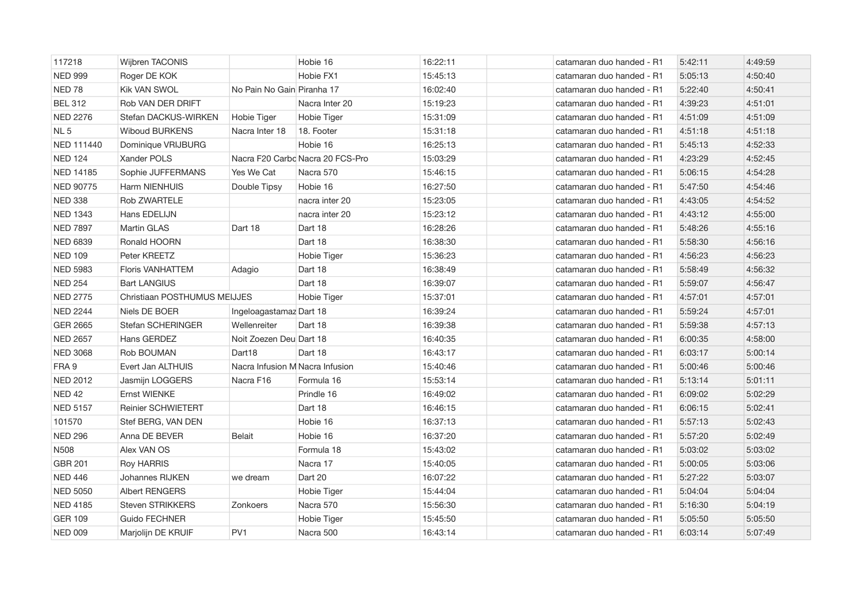| 117218            | Wijbren TACONIS              |                                 | Hobie 16                         | 16:22:11 | catamaran duo handed - R1 | 5:42:11 | 4:49:59 |
|-------------------|------------------------------|---------------------------------|----------------------------------|----------|---------------------------|---------|---------|
| <b>NED 999</b>    | Roger DE KOK                 |                                 | Hobie FX1                        | 15:45:13 | catamaran duo handed - R1 | 5:05:13 | 4:50:40 |
| NED <sub>78</sub> | <b>Kik VAN SWOL</b>          | No Pain No Gain Piranha 17      |                                  | 16:02:40 | catamaran duo handed - R1 | 5:22:40 | 4:50:41 |
| <b>BEL 312</b>    | Rob VAN DER DRIFT            |                                 | Nacra Inter 20                   | 15:19:23 | catamaran duo handed - R1 | 4:39:23 | 4:51:01 |
| <b>NED 2276</b>   | Stefan DACKUS-WIRKEN         | Hobie Tiger                     | Hobie Tiger                      | 15:31:09 | catamaran duo handed - R1 | 4:51:09 | 4:51:09 |
| NL <sub>5</sub>   | <b>Wiboud BURKENS</b>        | Nacra Inter 18                  | 18. Footer                       | 15:31:18 | catamaran duo handed - R1 | 4:51:18 | 4:51:18 |
| NED 111440        | Dominique VRIJBURG           |                                 | Hobie 16                         | 16:25:13 | catamaran duo handed - R1 | 5:45:13 | 4:52:33 |
| <b>NED 124</b>    | Xander POLS                  |                                 | Nacra F20 Carbo Nacra 20 FCS-Pro | 15:03:29 | catamaran duo handed - R1 | 4:23:29 | 4:52:45 |
| NED 14185         | Sophie JUFFERMANS            | Yes We Cat                      | Nacra 570                        | 15:46:15 | catamaran duo handed - R1 | 5:06:15 | 4:54:28 |
| NED 90775         | Harm NIENHUIS                | Double Tipsy                    | Hobie 16                         | 16:27:50 | catamaran duo handed - R1 | 5:47:50 | 4:54:46 |
| <b>NED 338</b>    | Rob ZWARTELE                 |                                 | nacra inter 20                   | 15:23:05 | catamaran duo handed - R1 | 4:43:05 | 4:54:52 |
| <b>NED 1343</b>   | Hans EDELIJN                 |                                 | nacra inter 20                   | 15:23:12 | catamaran duo handed - R1 | 4:43:12 | 4:55:00 |
| <b>NED 7897</b>   | Martin GLAS                  | Dart 18                         | Dart 18                          | 16:28:26 | catamaran duo handed - R1 | 5:48:26 | 4:55:16 |
| <b>NED 6839</b>   | Ronald HOORN                 |                                 | Dart 18                          | 16:38:30 | catamaran duo handed - R1 | 5:58:30 | 4:56:16 |
| <b>NED 109</b>    | Peter KREETZ                 |                                 | Hobie Tiger                      | 15:36:23 | catamaran duo handed - R1 | 4:56:23 | 4:56:23 |
| <b>NED 5983</b>   | <b>Floris VANHATTEM</b>      | Adagio                          | Dart 18                          | 16:38:49 | catamaran duo handed - R1 | 5:58:49 | 4:56:32 |
| <b>NED 254</b>    | <b>Bart LANGIUS</b>          |                                 | Dart 18                          | 16:39:07 | catamaran duo handed - R1 | 5:59:07 | 4:56:47 |
| <b>NED 2775</b>   | Christiaan POSTHUMUS MEIJJES |                                 | Hobie Tiger                      | 15:37:01 | catamaran duo handed - R1 | 4:57:01 | 4:57:01 |
| <b>NED 2244</b>   | Niels DE BOER                | Ingeloagastamaz Dart 18         |                                  | 16:39:24 | catamaran duo handed - R1 | 5:59:24 | 4:57:01 |
| <b>GER 2665</b>   | Stefan SCHERINGER            | Wellenreiter                    | Dart 18                          | 16:39:38 | catamaran duo handed - R1 | 5:59:38 | 4:57:13 |
| <b>NED 2657</b>   | Hans GERDEZ                  | Noit Zoezen Deu Dart 18         |                                  | 16:40:35 | catamaran duo handed - R1 | 6:00:35 | 4:58:00 |
| <b>NED 3068</b>   | Rob BOUMAN                   | Dart18                          | Dart 18                          | 16:43:17 | catamaran duo handed - R1 | 6:03:17 | 5:00:14 |
| FRA 9             | Evert Jan ALTHUIS            | Nacra Infusion M Nacra Infusion |                                  | 15:40:46 | catamaran duo handed - R1 | 5:00:46 | 5:00:46 |
| <b>NED 2012</b>   | Jasmijn LOGGERS              | Nacra F16                       | Formula 16                       | 15:53:14 | catamaran duo handed - R1 | 5:13:14 | 5:01:11 |
| <b>NED 42</b>     | Ernst WIENKE                 |                                 | Prindle 16                       | 16:49:02 | catamaran duo handed - R1 | 6:09:02 | 5:02:29 |
| <b>NED 5157</b>   | <b>Reinier SCHWIETERT</b>    |                                 | Dart 18                          | 16:46:15 | catamaran duo handed - R1 | 6:06:15 | 5:02:41 |
| 101570            | Stef BERG, VAN DEN           |                                 | Hobie 16                         | 16:37:13 | catamaran duo handed - R1 | 5:57:13 | 5:02:43 |
| <b>NED 296</b>    | Anna DE BEVER                | <b>Belait</b>                   | Hobie 16                         | 16:37:20 | catamaran duo handed - R1 | 5:57:20 | 5:02:49 |
| N508              | Alex VAN OS                  |                                 | Formula 18                       | 15:43:02 | catamaran duo handed - R1 | 5:03:02 | 5:03:02 |
| <b>GBR 201</b>    | <b>Roy HARRIS</b>            |                                 | Nacra 17                         | 15:40:05 | catamaran duo handed - R1 | 5:00:05 | 5:03:06 |
| <b>NED 446</b>    | Johannes RIJKEN              | we dream                        | Dart 20                          | 16:07:22 | catamaran duo handed - R1 | 5:27:22 | 5:03:07 |
| <b>NED 5050</b>   | <b>Albert RENGERS</b>        |                                 | Hobie Tiger                      | 15:44:04 | catamaran duo handed - R1 | 5:04:04 | 5:04:04 |
| <b>NED 4185</b>   | <b>Steven STRIKKERS</b>      | Zonkoers                        | Nacra 570                        | 15:56:30 | catamaran duo handed - R1 | 5:16:30 | 5:04:19 |
| <b>GER 109</b>    | <b>Guido FECHNER</b>         |                                 | Hobie Tiger                      | 15:45:50 | catamaran duo handed - R1 | 5:05:50 | 5:05:50 |
| <b>NED 009</b>    | Marjolijn DE KRUIF           | PV <sub>1</sub>                 | Nacra 500                        | 16:43:14 | catamaran duo handed - R1 | 6:03:14 | 5:07:49 |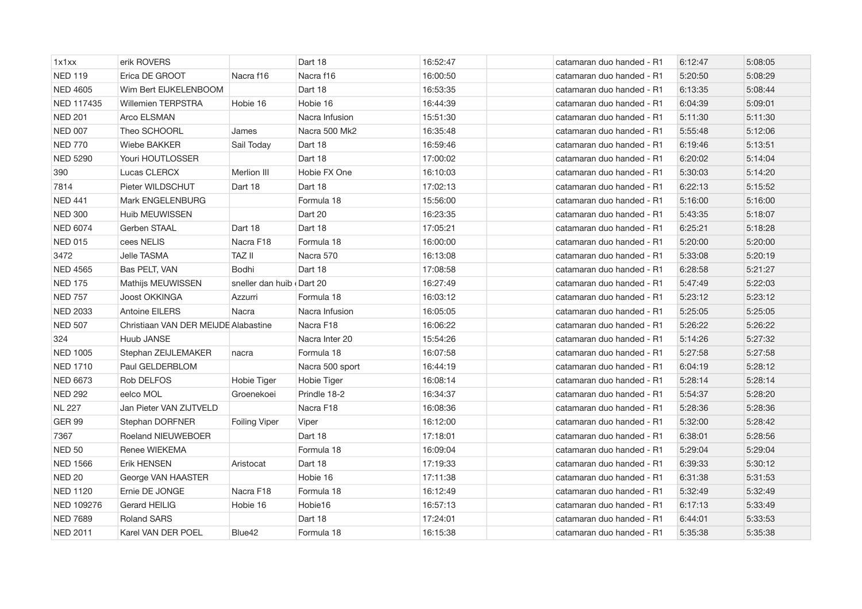| 1x1xx           | erik ROVERS                          |                          | Dart 18               | 16:52:47 | catamaran duo handed - R1 | 6:12:47 | 5:08:05 |
|-----------------|--------------------------------------|--------------------------|-----------------------|----------|---------------------------|---------|---------|
| <b>NED 119</b>  | Erica DE GROOT                       | Nacra f16                | Nacra f16             | 16:00:50 | catamaran duo handed - R1 | 5:20:50 | 5:08:29 |
| <b>NED 4605</b> | Wim Bert EIJKELENBOOM                |                          | Dart 18               | 16:53:35 | catamaran duo handed - R1 | 6:13:35 | 5:08:44 |
| NED 117435      | <b>Willemien TERPSTRA</b>            | Hobie 16                 | Hobie 16              | 16:44:39 | catamaran duo handed - R1 | 6:04:39 | 5:09:01 |
| <b>NED 201</b>  | Arco ELSMAN                          |                          | Nacra Infusion        | 15:51:30 | catamaran duo handed - R1 | 5:11:30 | 5:11:30 |
| <b>NED 007</b>  | Theo SCHOORL                         | James                    | Nacra 500 Mk2         | 16:35:48 | catamaran duo handed - R1 | 5:55:48 | 5:12:06 |
| <b>NED 770</b>  | Wiebe BAKKER                         | Sail Today               | Dart 18               | 16:59:46 | catamaran duo handed - R1 | 6:19:46 | 5:13:51 |
| <b>NED 5290</b> | Youri HOUTLOSSER                     |                          | Dart 18               | 17:00:02 | catamaran duo handed - R1 | 6:20:02 | 5:14:04 |
| 390             | Lucas CLERCX                         | Merlion III              | Hobie FX One          | 16:10:03 | catamaran duo handed - R1 | 5:30:03 | 5:14:20 |
| 7814            | Pieter WILDSCHUT                     | Dart 18                  | Dart 18               | 17:02:13 | catamaran duo handed - R1 | 6:22:13 | 5:15:52 |
| <b>NED 441</b>  | Mark ENGELENBURG                     |                          | Formula 18            | 15:56:00 | catamaran duo handed - R1 | 5:16:00 | 5:16:00 |
| <b>NED 300</b>  | Huib MEUWISSEN                       |                          | Dart 20               | 16:23:35 | catamaran duo handed - R1 | 5:43:35 | 5:18:07 |
| <b>NED 6074</b> | Gerben STAAL                         | Dart 18                  | Dart 18               | 17:05:21 | catamaran duo handed - R1 | 6:25:21 | 5:18:28 |
| <b>NED 015</b>  | cees NELIS                           | Nacra F18                | Formula 18            | 16:00:00 | catamaran duo handed - R1 | 5:20:00 | 5:20:00 |
| 3472            | Jelle TASMA                          | <b>TAZ II</b>            | Nacra 570             | 16:13:08 | catamaran duo handed - R1 | 5:33:08 | 5:20:19 |
| <b>NED 4565</b> | Bas PELT, VAN                        | Bodhi                    | Dart 18               | 17:08:58 | catamaran duo handed - R1 | 6:28:58 | 5:21:27 |
| <b>NED 175</b>  | Mathijs MEUWISSEN                    | sneller dan huib Dart 20 |                       | 16:27:49 | catamaran duo handed - R1 | 5:47:49 | 5:22:03 |
| <b>NED 757</b>  | <b>Joost OKKINGA</b>                 | Azzurri                  | Formula 18            | 16:03:12 | catamaran duo handed - R1 | 5:23:12 | 5:23:12 |
| <b>NED 2033</b> | <b>Antoine EILERS</b>                | Nacra                    | Nacra Infusion        | 16:05:05 | catamaran duo handed - R1 | 5:25:05 | 5:25:05 |
| <b>NED 507</b>  | Christiaan VAN DER MEIJDE Alabastine |                          | Nacra F18             | 16:06:22 | catamaran duo handed - R1 | 5:26:22 | 5:26:22 |
| 324             | Huub JANSE                           |                          | Nacra Inter 20        | 15:54:26 | catamaran duo handed - R1 | 5:14:26 | 5:27:32 |
| <b>NED 1005</b> | Stephan ZEIJLEMAKER                  | nacra                    | Formula 18            | 16:07:58 | catamaran duo handed - R1 | 5:27:58 | 5:27:58 |
| <b>NED 1710</b> | Paul GELDERBLOM                      |                          | Nacra 500 sport       | 16:44:19 | catamaran duo handed - R1 | 6:04:19 | 5:28:12 |
| <b>NED 6673</b> | Rob DELFOS                           | Hobie Tiger              | Hobie Tiger           | 16:08:14 | catamaran duo handed - R1 | 5:28:14 | 5:28:14 |
| <b>NED 292</b>  | eelco MOL                            | Groenekoei               | Prindle 18-2          | 16:34:37 | catamaran duo handed - R1 | 5:54:37 | 5:28:20 |
| <b>NL 227</b>   | Jan Pieter VAN ZIJTVELD              |                          | Nacra F <sub>18</sub> | 16:08:36 | catamaran duo handed - R1 | 5:28:36 | 5:28:36 |
| <b>GER 99</b>   | Stephan DORFNER                      | <b>Foiling Viper</b>     | Viper                 | 16:12:00 | catamaran duo handed - R1 | 5:32:00 | 5:28:42 |
| 7367            | Roeland NIEUWEBOER                   |                          | Dart 18               | 17:18:01 | catamaran duo handed - R1 | 6:38:01 | 5:28:56 |
| <b>NED 50</b>   | Renee WIEKEMA                        |                          | Formula 18            | 16:09:04 | catamaran duo handed - R1 | 5:29:04 | 5:29:04 |
| <b>NED 1566</b> | Erik HENSEN                          | Aristocat                | Dart 18               | 17:19:33 | catamaran duo handed - R1 | 6:39:33 | 5:30:12 |
| <b>NED 20</b>   | George VAN HAASTER                   |                          | Hobie 16              | 17:11:38 | catamaran duo handed - R1 | 6:31:38 | 5:31:53 |
| <b>NED 1120</b> | Ernie DE JONGE                       | Nacra F18                | Formula 18            | 16:12:49 | catamaran duo handed - R1 | 5:32:49 | 5:32:49 |
| NED 109276      | Gerard HEILIG                        | Hobie 16                 | Hobie16               | 16:57:13 | catamaran duo handed - R1 | 6:17:13 | 5:33:49 |
| <b>NED 7689</b> | <b>Roland SARS</b>                   |                          | Dart 18               | 17:24:01 | catamaran duo handed - R1 | 6:44:01 | 5:33:53 |
| <b>NED 2011</b> | Karel VAN DER POEL                   | Blue42                   | Formula 18            | 16:15:38 | catamaran duo handed - R1 | 5:35:38 | 5:35:38 |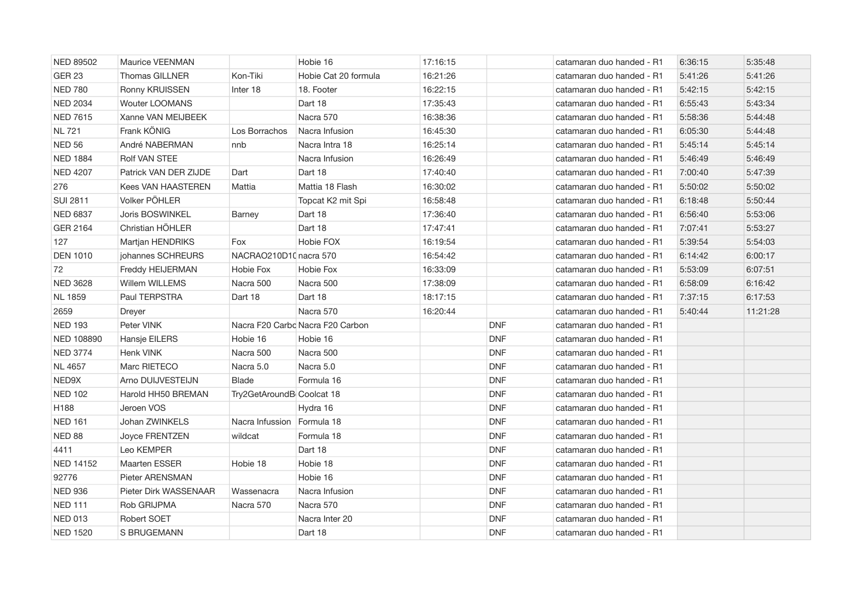| <b>NED 89502</b>  | Maurice VEENMAN           |                           | Hobie 16                         | 17:16:15 |            | catamaran duo handed - R1 | 6:36:15 | 5:35:48  |
|-------------------|---------------------------|---------------------------|----------------------------------|----------|------------|---------------------------|---------|----------|
| <b>GER 23</b>     | Thomas GILLNER            | Kon-Tiki                  | Hobie Cat 20 formula             | 16:21:26 |            | catamaran duo handed - R1 | 5:41:26 | 5:41:26  |
| <b>NED 780</b>    | Ronny KRUISSEN            | Inter 18                  | 18. Footer                       | 16:22:15 |            | catamaran duo handed - R1 | 5:42:15 | 5:42:15  |
| <b>NED 2034</b>   | <b>Wouter LOOMANS</b>     |                           | Dart 18                          | 17:35:43 |            | catamaran duo handed - R1 | 6:55:43 | 5:43:34  |
| <b>NED 7615</b>   | Xanne VAN MEIJBEEK        |                           | Nacra 570                        | 16:38:36 |            | catamaran duo handed - R1 | 5:58:36 | 5:44:48  |
| <b>NL 721</b>     | Frank KÖNIG               | Los Borrachos             | Nacra Infusion                   | 16:45:30 |            | catamaran duo handed - R1 | 6:05:30 | 5:44:48  |
| <b>NED 56</b>     | André NABERMAN            | nnb                       | Nacra Intra 18                   | 16:25:14 |            | catamaran duo handed - R1 | 5:45:14 | 5:45:14  |
| <b>NED 1884</b>   | <b>Rolf VAN STEE</b>      |                           | Nacra Infusion                   | 16:26:49 |            | catamaran duo handed - R1 | 5:46:49 | 5:46:49  |
| <b>NED 4207</b>   | Patrick VAN DER ZIJDE     | Dart                      | Dart 18                          | 17:40:40 |            | catamaran duo handed - R1 | 7:00:40 | 5:47:39  |
| 276               | <b>Kees VAN HAASTEREN</b> | Mattia                    | Mattia 18 Flash                  | 16:30:02 |            | catamaran duo handed - R1 | 5:50:02 | 5:50:02  |
| <b>SUI 2811</b>   | Volker PÖHLER             |                           | Topcat K2 mit Spi                | 16:58:48 |            | catamaran duo handed - R1 | 6:18:48 | 5:50:44  |
| <b>NED 6837</b>   | Joris BOSWINKEL           | Barney                    | Dart 18                          | 17:36:40 |            | catamaran duo handed - R1 | 6:56:40 | 5:53:06  |
| GER 2164          | Christian HÖHLER          |                           | Dart 18                          | 17:47:41 |            | catamaran duo handed - R1 | 7:07:41 | 5:53:27  |
| 127               | Martjan HENDRIKS          | Fox                       | Hobie FOX                        | 16:19:54 |            | catamaran duo handed - R1 | 5:39:54 | 5:54:03  |
| <b>DEN 1010</b>   | johannes SCHREURS         | NACRAO210D10 nacra 570    |                                  | 16:54:42 |            | catamaran duo handed - R1 | 6:14:42 | 6:00:17  |
| 72                | Freddy HEIJERMAN          | Hobie Fox                 | Hobie Fox                        | 16:33:09 |            | catamaran duo handed - R1 | 5:53:09 | 6:07:51  |
| <b>NED 3628</b>   | Willem WILLEMS            | Nacra 500                 | Nacra 500                        | 17:38:09 |            | catamaran duo handed - R1 | 6:58:09 | 6:16:42  |
| <b>NL 1859</b>    | Paul TERPSTRA             | Dart 18                   | Dart 18                          | 18:17:15 |            | catamaran duo handed - R1 | 7:37:15 | 6:17:53  |
| 2659              | Dreyer                    |                           | Nacra 570                        | 16:20:44 |            | catamaran duo handed - R1 | 5:40:44 | 11:21:28 |
| <b>NED 193</b>    | Peter VINK                |                           | Nacra F20 Carbo Nacra F20 Carbon |          | <b>DNF</b> | catamaran duo handed - R1 |         |          |
| <b>NED 108890</b> | Hansje EILERS             | Hobie 16                  | Hobie 16                         |          | <b>DNF</b> | catamaran duo handed - R1 |         |          |
| <b>NED 3774</b>   | <b>Henk VINK</b>          | Nacra 500                 | Nacra 500                        |          | <b>DNF</b> | catamaran duo handed - R1 |         |          |
| <b>NL 4657</b>    | Marc RIETECO              | Nacra 5.0                 | Nacra 5.0                        |          | <b>DNF</b> | catamaran duo handed - R1 |         |          |
| NED9X             | Arno DUIJVESTEIJN         | <b>Blade</b>              | Formula 16                       |          | <b>DNF</b> | catamaran duo handed - R1 |         |          |
| <b>NED 102</b>    | Harold HH50 BREMAN        | Try2GetAroundB Coolcat 18 |                                  |          | <b>DNF</b> | catamaran duo handed - R1 |         |          |
| H188              | Jeroen VOS                |                           | Hydra 16                         |          | <b>DNF</b> | catamaran duo handed - R1 |         |          |
| <b>NED 161</b>    | Johan ZWINKELS            | Nacra Infussion           | Formula 18                       |          | <b>DNF</b> | catamaran duo handed - R1 |         |          |
| NED 88            | Joyce FRENTZEN            | wildcat                   | Formula 18                       |          | <b>DNF</b> | catamaran duo handed - R1 |         |          |
| 4411              | Leo KEMPER                |                           | Dart 18                          |          | <b>DNF</b> | catamaran duo handed - R1 |         |          |
| NED 14152         | <b>Maarten ESSER</b>      | Hobie 18                  | Hobie 18                         |          | <b>DNF</b> | catamaran duo handed - R1 |         |          |
| 92776             | Pieter ARENSMAN           |                           | Hobie 16                         |          | <b>DNF</b> | catamaran duo handed - R1 |         |          |
| <b>NED 936</b>    | Pieter Dirk WASSENAAR     | Wassenacra                | Nacra Infusion                   |          | <b>DNF</b> | catamaran duo handed - R1 |         |          |
| <b>NED 111</b>    | Rob GRIJPMA               | Nacra 570                 | Nacra 570                        |          | <b>DNF</b> | catamaran duo handed - R1 |         |          |
| <b>NED 013</b>    | <b>Robert SOET</b>        |                           | Nacra Inter 20                   |          | <b>DNF</b> | catamaran duo handed - R1 |         |          |
| <b>NED 1520</b>   | S BRUGEMANN               |                           | Dart 18                          |          | <b>DNF</b> | catamaran duo handed - R1 |         |          |